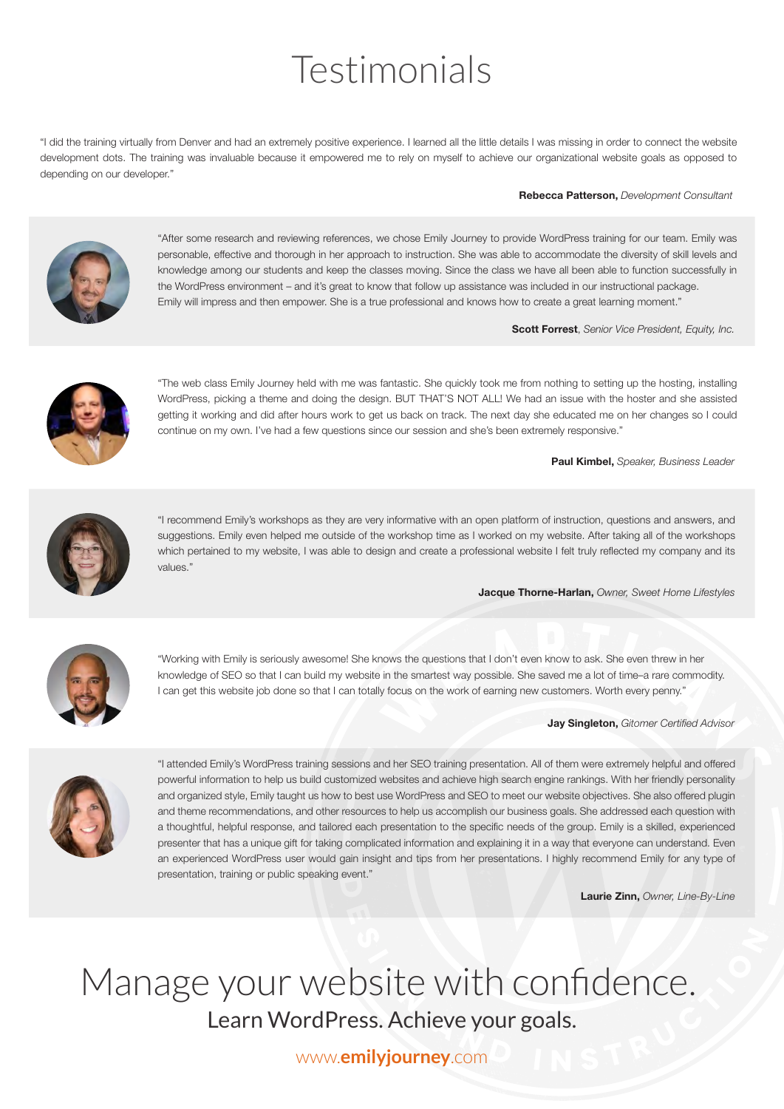# Testimonials

"I did the training virtually from Denver and had an extremely positive experience. I learned all the little details I was missing in order to connect the website development dots. The training was invaluable because it empowered me to rely on myself to achieve our organizational website goals as opposed to depending on our developer."

Rebecca Patterson, *Development Consultant*



"After some research and reviewing references, we chose Emily Journey to provide WordPress training for our team. Emily was personable, effective and thorough in her approach to instruction. She was able to accommodate the diversity of skill levels and knowledge among our students and keep the classes moving. Since the class we have all been able to function successfully in the WordPress environment – and it's great to know that follow up assistance was included in our instructional package. Emily will impress and then empower. She is a true professional and knows how to create a great learning moment."

Scott Forrest, *Senior Vice President, Equity, Inc.*



"The web class Emily Journey held with me was fantastic. She quickly took me from nothing to setting up the hosting, installing WordPress, picking a theme and doing the design. BUT THAT'S NOT ALL! We had an issue with the hoster and she assisted getting it working and did after hours work to get us back on track. The next day she educated me on her changes so I could continue on my own. I've had a few questions since our session and she's been extremely responsive."

Paul Kimbel, *Speaker, Business Leader*



"I recommend Emily's workshops as they are very informative with an open platform of instruction, questions and answers, and suggestions. Emily even helped me outside of the workshop time as I worked on my website. After taking all of the workshops which pertained to my website, I was able to design and create a professional website I felt truly reflected my company and its values."

Jacque Thorne-Harlan, *Owner, Sweet Home Lifestyles*



"Working with Emily is seriously awesome! She knows the questions that I don't even know to ask. She even threw in her knowledge of SEO so that I can build my website in the smartest way possible. She saved me a lot of time–a rare commodity. I can get this website job done so that I can totally focus on the work of earning new customers. Worth every penny."

Jay Singleton, *Gitomer Certified Advisor*



"I attended Emily's WordPress training sessions and her SEO training presentation. All of them were extremely helpful and offered powerful information to help us build customized websites and achieve high search engine rankings. With her friendly personality and organized style, Emily taught us how to best use WordPress and SEO to meet our website objectives. She also offered plugin and theme recommendations, and other resources to help us accomplish our business goals. She addressed each question with a thoughtful, helpful response, and tailored each presentation to the specific needs of the group. Emily is a skilled, experienced presenter that has a unique gift for taking complicated information and explaining it in a way that everyone can understand. Even an experienced WordPress user would gain insight and tips from her presentations. I highly recommend Emily for any type of presentation, training or public speaking event."

Laurie Zinn, *Owner, Line-By-Line*

### Manage your website with confidence. Learn WordPress. Achieve your goals.

#### www.**emilyjourney**.com